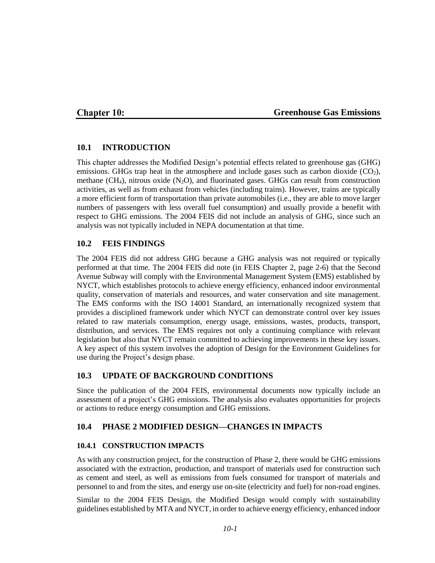### **Chapter 10:**

#### **Greenhouse Gas Emissions**

### **10.1 INTRODUCTION**

This chapter addresses the Modified Design's potential effects related to greenhouse gas (GHG) emissions. GHGs trap heat in the atmosphere and include gases such as carbon dioxide  $(CO<sub>2</sub>)$ , methane (CH<sub>4</sub>), nitrous oxide (N<sub>2</sub>O), and fluorinated gases. GHGs can result from construction activities, as well as from exhaust from vehicles (including trains). However, trains are typically a more efficient form of transportation than private automobiles (i.e., they are able to move larger numbers of passengers with less overall fuel consumption) and usually provide a benefit with respect to GHG emissions. The 2004 FEIS did not include an analysis of GHG, since such an analysis was not typically included in NEPA documentation at that time.

### **10.2 FEIS FINDINGS**

The 2004 FEIS did not address GHG because a GHG analysis was not required or typically performed at that time. The 2004 FEIS did note (in FEIS Chapter 2, page 2-6) that the Second Avenue Subway will comply with the Environmental Management System (EMS) established by NYCT, which establishes protocols to achieve energy efficiency, enhanced indoor environmental quality, conservation of materials and resources, and water conservation and site management. The EMS conforms with the ISO 14001 Standard, an internationally recognized system that provides a disciplined framework under which NYCT can demonstrate control over key issues related to raw materials consumption, energy usage, emissions, wastes, products, transport, distribution, and services. The EMS requires not only a continuing compliance with relevant legislation but also that NYCT remain committed to achieving improvements in these key issues. A key aspect of this system involves the adoption of Design for the Environment Guidelines for use during the Project's design phase.

# **10.3 UPDATE OF BACKGROUND CONDITIONS**

Since the publication of the 2004 FEIS, environmental documents now typically include an assessment of a project's GHG emissions. The analysis also evaluates opportunities for projects or actions to reduce energy consumption and GHG emissions.

# **10.4 PHASE 2 MODIFIED DESIGN—CHANGES IN IMPACTS**

### **10.4.1 CONSTRUCTION IMPACTS**

As with any construction project, for the construction of Phase 2, there would be GHG emissions associated with the extraction, production, and transport of materials used for construction such as cement and steel, as well as emissions from fuels consumed for transport of materials and personnel to and from the sites, and energy use on-site (electricity and fuel) for non-road engines.

Similar to the 2004 FEIS Design, the Modified Design would comply with sustainability guidelines established by MTA and NYCT, in order to achieve energy efficiency, enhanced indoor